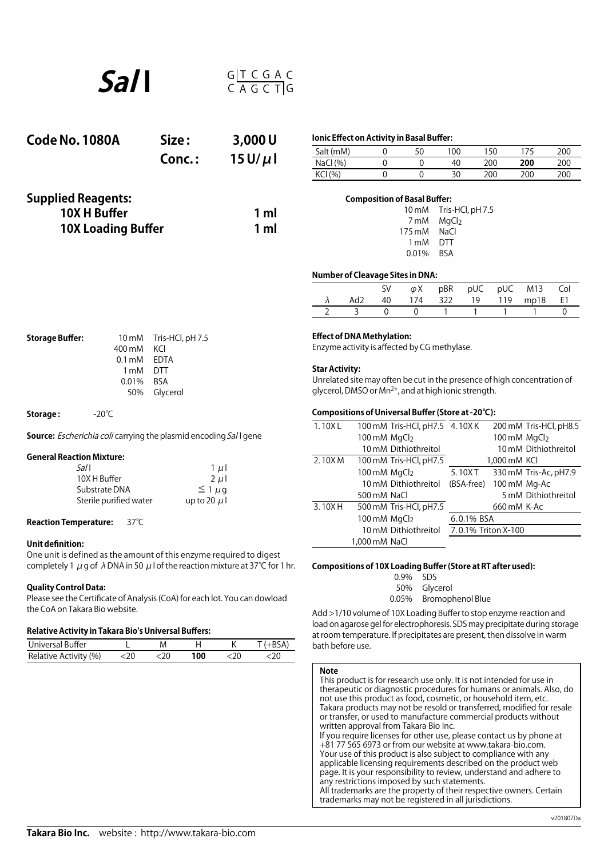

| Code No. 1080A            | Size:  | 3,000U                              | Ionic Effect on Activity in Basal Buffer: |   |                                     |     |     |     |     |  |
|---------------------------|--------|-------------------------------------|-------------------------------------------|---|-------------------------------------|-----|-----|-----|-----|--|
|                           |        |                                     | Salt (mM)                                 | 0 | 50                                  | 100 | 150 | 175 | 200 |  |
|                           | Conc.: | $15U/\mu$                           | NaCl(%)                                   |   |                                     | 40  | 200 | 200 | 200 |  |
|                           |        |                                     | KCI (%)                                   | 0 |                                     | 30  | 200 | 200 | 200 |  |
| <b>Supplied Reagents:</b> |        | <b>Composition of Basal Buffer:</b> |                                           |   |                                     |     |     |     |     |  |
| 10X H Buffer              | 1 ml   |                                     |                                           |   | Tris-HCl, pH 7.5<br>$10 \text{ mM}$ |     |     |     |     |  |
|                           |        |                                     | MgCl <sub>2</sub><br>7 mM                 |   |                                     |     |     |     |     |  |
| <b>10X Loading Buffer</b> |        | 1 ml                                | 175 mM<br>NaCl                            |   |                                     |     |     |     |     |  |

| ------------------------- |
|---------------------------|
| 10 mM Tris-HCl, pH 7.5    |
| 7 mM MgCl <sub>2</sub>    |
| 175 mM NaCl               |
| 1 mM DTT                  |
| 0.01% BSA                 |
|                           |

### **Number of Cleavage Sites in DNA:**

|  |  |  | SV $\varphi X$ pBR pUC pUC M13 Col |  |
|--|--|--|------------------------------------|--|
|  |  |  | Ad2 40 174 322 19 119 mp18 E1      |  |
|  |  |  | $0 \t 1 \t 1 \t 1$                 |  |

| <b>Storage Buffer:</b> |              | 10 mM Tris-HCl, pH 7.5 |  |
|------------------------|--------------|------------------------|--|
|                        | 400 mM KCI   |                        |  |
|                        | 0.1 mM EDTA  |                        |  |
|                        | 1 mM DTT     |                        |  |
|                        | $0.01\%$ BSA |                        |  |
|                        |              | 50% Glycerol           |  |
|                        |              |                        |  |

**Storage :**  -20℃

**Source:** *Escherichia coli* carrying the plasmid encoding Sal I gene

## **General Reaction Mixture:**

| Sal I                  | 1 $\mu$        |
|------------------------|----------------|
| 10X H Buffer           | $2 \mu$        |
| Substrate DNA          | $\leq 1 \mu q$ |
| Sterile purified water | up to 20 $\mu$ |
|                        |                |

## **Reaction Temperature:** 37℃

## **Unit definition:**

One unit is defined as the amount of this enzyme required to digest completely 1  $\mu$  g of  $\lambda$  DNA in 50  $\mu$  l of the reaction mixture at 37°C for 1 hr.

### **Quality Control Data:**

Please see the Certificate of Analysis (CoA) for each lot. You can dowload the CoA on Takara Bio website.

# **Relative Activity in Takara Bio's Universal Buffers:**

| Universal Buffer      |  |     |  |
|-----------------------|--|-----|--|
| Relative Activity (%) |  | 00. |  |

## **Effect of DNA Methylation:**

Enzyme activity is affected by CG methylase.

## **Star Activity:**

Unrelated site may often be cutin the presence of high concentration of glycerol, DMSO or Mn2+, and at high ionic strength.

## **Compositions of Universal Buffer (Store at -20℃):**

| 1.10XL |                          | 100 mM Tris-HCl, pH7.5 4.10XK |                     |              | 200 mM Tris-HCl, pH8.5 |
|--------|--------------------------|-------------------------------|---------------------|--------------|------------------------|
|        | 100 mM MgCl <sub>2</sub> |                               |                     | 100 mM MgCl2 |                        |
|        |                          | 10 mM Dithiothreitol          |                     |              | 10 mM Dithiothreitol   |
| 2.10XM |                          | 100 mM Tris-HCl, pH7.5        |                     | 1,000 mM KCI |                        |
|        | 100 mM MgCl <sub>2</sub> |                               | 5.10XT              |              | 330 mM Tris-Ac, pH7.9  |
|        |                          | 10 mM Dithiothreitol          | (BSA-free)          | 100 mM Mg-Ac |                        |
|        | 500 mM NaCl              |                               |                     |              | 5 mM Dithiothreitol    |
| 3.10XH |                          | 500 mM Tris-HCl, pH7.5        |                     | 660 mM K-Ac  |                        |
|        | 100 mM MgCl2             |                               | 6.0.1% BSA          |              |                        |
|        |                          | 10 mM Dithiothreitol          | 7.0.1% Triton X-100 |              |                        |
|        | 1,000 mM NaCl            |                               |                     |              |                        |
|        |                          |                               |                     |              |                        |

## **Compositions of 10X Loading Buffer (Store at RT after used):**

| $0.9\%$ SDS |                  |
|-------------|------------------|
| 50%         | Glycerol         |
| 0.05%       | Bromophenol Blue |
|             |                  |

Add >1/10 volume of 10X Loading Bufferto stop enzyme reaction and load on agarose gel for electrophoresis. SDS may precipitate during storage at room temperature. If precipitates are present, then dissolve in warm bath before use.

#### **Note**

This product is for research use only. It is not intended for use in therapeutic or diagnostic procedures for humans or animals. Also, do not use this product as food, cosmetic, or household item, etc. Takara products may not be resold or transferred, modified for resale or transfer, or used to manufacture commercial products without written approval from Takara Bio Inc. If you require licenses for other use, please contact us by phone at +81 77 565 6973 or from our website at www.takara-bio.com. Your use of this product is also subject to compliance with any applicable licensing requirements described on the product web page. It is your responsibility to review, understand and adhere to any restrictions imposed by such statements. All trademarks are the property of their respective owners. Certain trademarks may not be registered in all jurisdictions.